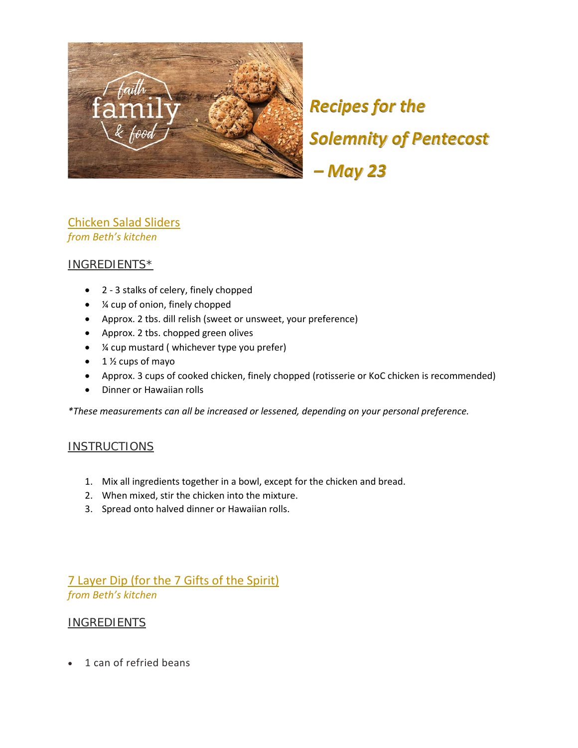

*Recipes for the Solemnity of Pentecost – May 23*

### Chicken Salad Sliders *from Beth's kitchen*

### INGREDIENTS\*

- 2 3 stalks of celery, finely chopped
- ¼ cup of onion, finely chopped
- Approx. 2 tbs. dill relish (sweet or unsweet, your preference)
- Approx. 2 tbs. chopped green olives
- ¼ cup mustard ( whichever type you prefer)
- $\bullet$  1  $\frac{1}{2}$  cups of mayo
- Approx. 3 cups of cooked chicken, finely chopped (rotisserie or KoC chicken is recommended)
- Dinner or Hawaiian rolls

*\*These measurements can all be increased or lessened, depending on your personal preference.*

#### **INSTRUCTIONS**

- 1. Mix all ingredients together in a bowl, except for the chicken and bread.
- 2. When mixed, stir the chicken into the mixture.
- 3. Spread onto halved dinner or Hawaiian rolls.

### 7 Layer Dip (for the 7 Gifts of the Spirit) *from Beth's kitchen*

### **INGREDIENTS**

• 1 can of refried beans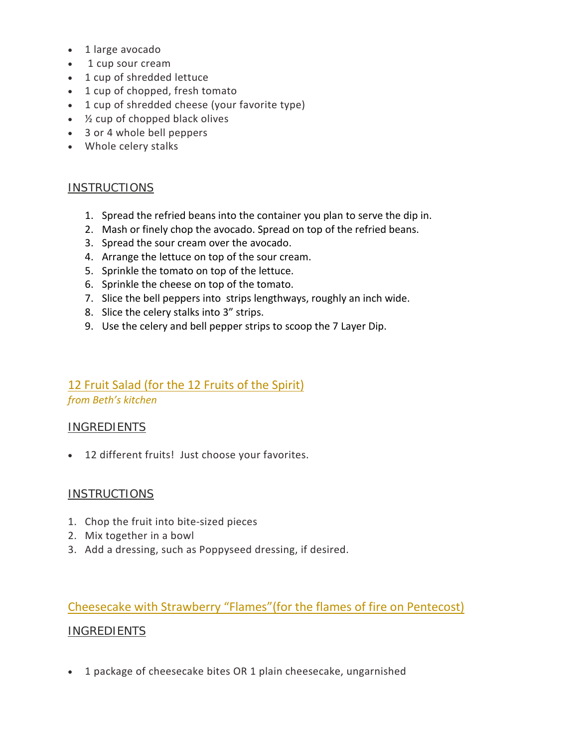- 1 large avocado
- 1 cup sour cream
- 1 cup of shredded lettuce
- 1 cup of chopped, fresh tomato
- 1 cup of shredded cheese (your favorite type)
- $\bullet$   $\frac{1}{2}$  cup of chopped black olives
- 3 or 4 whole bell peppers
- Whole celery stalks

### INSTRUCTIONS

- 1. Spread the refried beans into the container you plan to serve the dip in.
- 2. Mash or finely chop the avocado. Spread on top of the refried beans.
- 3. Spread the sour cream over the avocado.
- 4. Arrange the lettuce on top of the sour cream.
- 5. Sprinkle the tomato on top of the lettuce.
- 6. Sprinkle the cheese on top of the tomato.
- 7. Slice the bell peppers into strips lengthways, roughly an inch wide.
- 8. Slice the celery stalks into 3" strips.
- 9. Use the celery and bell pepper strips to scoop the 7 Layer Dip.

## 12 Fruit Salad (for the 12 Fruits of the Spirit)

*from Beth's kitchen*

### INGREDIENTS

• 12 different fruits! Just choose your favorites.

### **INSTRUCTIONS**

- 1. Chop the fruit into bite-sized pieces
- 2. Mix together in a bowl
- 3. Add a dressing, such as Poppyseed dressing, if desired.

# Cheesecake with Strawberry "Flames"(for the flames of fire on Pentecost) INGREDIENTS

• 1 package of cheesecake bites OR 1 plain cheesecake, ungarnished